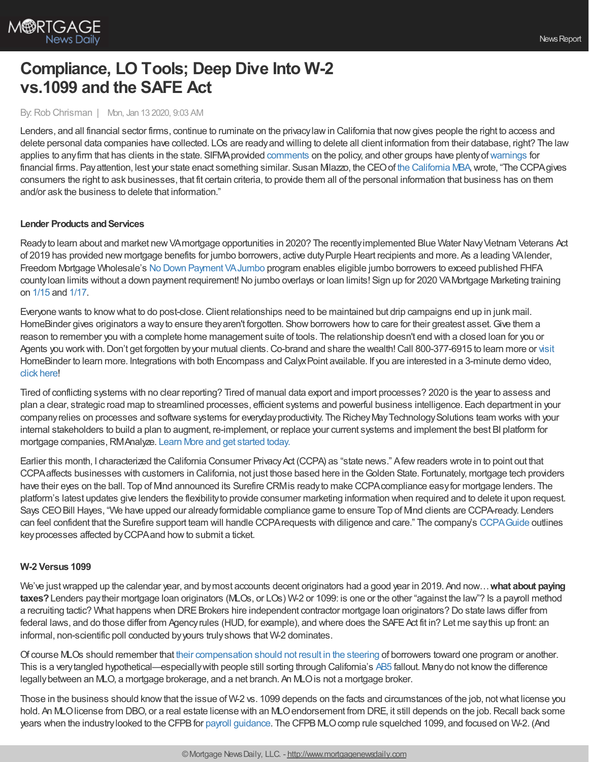

# **Compliance, LO Tools; Deep Dive Into W-2 vs.1099 and the SAFE Act**

### By:Rob Chrisman | Mon, Jan 13 2020, 9:03 AM

Lenders, and all financial sector firms, continue to ruminate on the privacylawin California that nowgives people the right to access and delete personal data companies have collected. LOs are readyand willing to delete all client information from their database, right? The law applies to any firm that has clients in the state. SIFMA provided [comments](http://r.smartbrief.com/resp/merPBYAUvnDjrCdACieSwDCicNlrla) on the policy, and other groups have plenty of [warnings](https://www.thinkadvisor.com/2020/01/09/beware-californias-new-privacy-law/) for financial firms. Payattention, lest your state enact something similar. Susan Milazzo, the CEOof the [California](https://www.cmba.com/advocacy/) MBA,wrote, "The CCPAgives consumers the right to ask businesses, that fit certain criteria, to provide them all of the personal information that business has on them and/or ask the business to delete that information."

### **Lender Products and Services**

Ready to learn about and market new VAmortgage opportunities in 2020? The recently implemented Blue Water Navy Vietnam Veterans Act of 2019 has provided new mortgage benefits for jumbo borrowers, active dutyPurple Heart recipients and more. As a leading VAlender, Freedom Mortgage Wholesale's No Down Payment [VAJumbo](https://documentcloud.adobe.com/link/track?uri=urn%253Aaaid%253Ascds%253AUS%253A0ad03bd9-9fe3-400e-8e2c-958d61c2f741) program enables eligible jumbo borrowers to exceed published FHFA county loan limits without a down payment requirement! No jumbo overlays or loan limits! Sign up for 2020 VA Mortgage Marketing training on [1/15](https://freedom.zoom.us/meeting/register/uZwpcuCoqzor5SK78_hgyaRX0JkIo60MPg) and [1/17](https://freedom.zoom.us/meeting/register/uZ0vceutrTwuSork6ttEPD3e0dpT0uqy9g).

Everyone wants to knowwhat to do post-close.Client relationships need to be maintained but drip campaigns end up in junk mail. HomeBinder gives originators a way to ensure they aren't forgotten. Show borrowers how to care for their greatest asset. Give them a reason to remember you with a complete home management suite of tools. The relationship doesn't end with a closed loan for you or Agents you work with. Don't get forgotten by your mutual clients. Co-brand and share the wealth! Call 800-377-6915 to learn more or [visit](https://www.partners.homebinder.com/lenders) HomeBinder to learn more. Integrations with both Encompass and Calyx Point available. If you are interested in a 3-minute demo video, click [here](https://vimeo.com/382646523)!

Tired of conflicting systems with no clear reporting? Tired of manual data export and import processes? 2020 is the year to assess and plan a clear, strategic road map to streamlined processes, efficient systems and powerful business intelligence. Each department in your companyrelies on processes and software systems for everydayproductivity. The RicheyMayTechnologySolutions team works with your internal stakeholders to build a plan to augment, re-implement, or replace your current systems and implement the best BI platform for mortgage companies, RMAnalyze. Learn More and get [started](https://www.richeymaytech.com/analyze-your-tech-stack-in-2020/?_cldee=ZWxpemFAcmljaGV5bWF5LmNvbQ%253d%253d&recipientid=contact-d9f4755c79ebe911a97a000d3a59746e-3e32c3c6ea094cd593951c0ac2fbaf8b&esid=538ceacd-c830-ea11-a810-000d3a31e89e) today.

Earlier this month, I characterized the California Consumer Privacy Act (CCPA) as "state news." A few readers wrote in to point out that CCPAaffects businesses with customers in California, not just those based here in theGolden State. Fortunately, mortgage tech providers have their eyes on the ball. Top of Mind announced its Surefire CRMis readyto make CCPAcompliance easyfor mortgage lenders. The platform's latest updates give lenders the flexibilityto provide consumer marketing information when required and to delete it upon request. Says CEO Bill Hayes, "We have upped our already formidable compliance game to ensure Top of Mnd clients are CCPA-ready. Lenders can feel confident that the Surefire support team will handle CCPArequests with diligence and care." The company's [CCPAGuide](http://storage.googleapis.com/flyers-storage-prod/images/web_flyers_template/5e04d959444f120191226110129.pdf) outlines keyprocesses affected byCCPAand howto submit a ticket.

### **W-2 Versus 1099**

We've justwrapped up the calendar year, and bymost accounts decent originators had a good year in 2019. And now…**what about paying taxes?**Lenders paytheir mortgage loan originators (MLOs, or LOs) W-2 or 1099: is one or the other "against the law"? Is a payroll method a recruiting tactic? What happens when DRE Brokers hire independent contractor mortgage loan originators? Do state laws differ from federal laws, and do those differ from Agency rules (HUD, for example), and where does the SAFE Act fit in? Let me say this up front: an informal, non-scientific poll conducted byyours trulyshows that W-2 dominates.

Of course MLOs should remember that their [compensation](https://journal.firsttuesday.us/how-mortgage-loan-originators-are-compensated/65164/) should not result in the steering of borrowers toward one program or another. This is a verytangled hypothetical—especiallywith people still sorting through California's [AB5](https://leginfo.legislature.ca.gov/faces/billTextClient.xhtml?bill_id=201920200AB5) fallout. Manydo not knowthe difference legallybetween an MLO, a mortgage brokerage, and a net branch. An MLOis not a mortgage broker.

Those in the business should know that the issue of W-2 vs. 1099 depends on the facts and circumstances of the job, not what license you hold. An MLO license from DBO, or a real estate license with an MLO endorsement from DRE, it still depends on the job. Recall back some years when the industry looked to the CFPB for payroll [guidance](https://files.consumerfinance.gov/f/201503_cfpb_2013-loan-originator-rule-small-entity-compliance-guide.pdf). The CFPB MLO comp rule squelched 1099, and focused on W-2. (And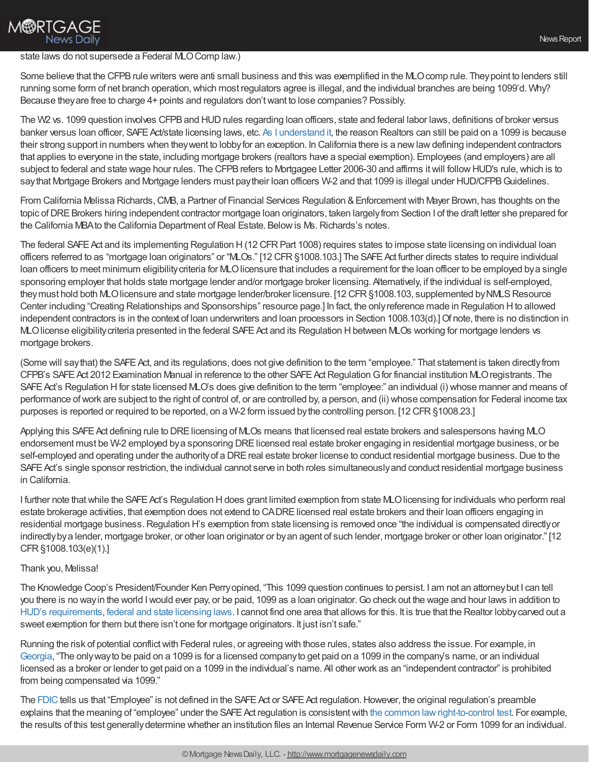## **M®RTGAGE News Daily**

### state laws do not supersede a Federal MLO Comp law.)

Some believe that the CFPB rule writers were anti small business and this was exemplified in the MLO comp rule. They point to lenders still running some form of net branch operation, which most regulators agree is illegal, and the individual branches are being 1099'd. Why? Because theyare free to charge 4+ points and regulators don'twant to lose companies? Possibly.

The W2 vs. 1099 question involves CFPB and HUD rules regarding loan officers, state and federal labor laws, definitions of broker versus banker versus loan officer, SAFE Act/state licensing laws, etc. As I [understand](http://www.mortgagenewsdaily.com/channels/pipelinepress/12182015-1099-versus-w-2.aspx) it, the reason Realtors can still be paid on a 1099 is because their strong support in numbers when theywent to lobbyfor an exception. In California there is a newlawdefining independent contractors that applies to everyone in the state, including mortgage brokers (realtors have a special exemption). Employees (and employers) are all subject to federal and state wage hour rules. The CFPB refers to Mortgagee Letter 2006-30 and affirms it will follow HUD's rule, which is to saythat Mortgage Brokers and Mortgage lenders must paytheir loan officers W-2 and that 1099 is illegal under HUD/CFPB Guidelines.

From California Melissa Richards, CMB, a Partner of Financial Services Regulation & Enforcement with Mayer Brown, has thoughts on the topic of DRE Brokers hiring independent contractor mortgage loan originators, taken largely from Section I of the draft letter she prepared for the California MBA to the California Department of Real Estate. Below is Ms. Richards's notes.

The federal SAFE Act and its implementing Regulation H(12 CFR Part 1008) requires states to impose state licensing on individual loan officers referred to as "mortgage loan originators" or "MLOs." [12 CFR§1008.103.] The SAFEAct further directs states to require individual loan officers to meet minimum eligibility criteria for MLO licensure that includes a requirement for the loan officer to be employed by a single sponsoring employer that holds state mortgage lender and/or mortgage broker licensing. Alternatively, if the individual is self-employed, they must hold both MLO licensure and state mortgage lender/broker licensure. [12 CFR §1008.103, supplemented by NMLS Resource Center including "Creating Relationships and Sponsorships" resource page.] In fact, the onlyreference made in Regulation Hto allowed independent contractors is in the context of loan underwriters and loan processors in Section 1008.103(d).]Of note, there is no distinction in MLO license eligibility criteria presented in the federal SAFE Act and its Regulation H between MLOs working for mortgage lenders vs mortgage brokers.

(Some will saythat) the SAFEAct, and its regulations, does not give definition to the term "employee." That statement is taken directlyfrom CFPB's SAFE Act 2012 Examination Manual in reference to the other SAFE Act Regulation G for financial institution MLO registrants. The SAFE Act's Regulation H for state licensed MLO's does give definition to the term "employee:" an individual (i) whose manner and means of performance ofwork are subject to the right of control of, or are controlled by, a person, and (ii) whose compensation for Federal income tax purposes is reported or required to be reported, on a W-2 form issued bythe controlling person. [12 CFR§1008.23.]

Applying this SAFE Act defining rule to DRE licensing of MLOs means that licensed real estate brokers and salespersons having MLO endorsement must be W-2 employed bya sponsoring DRElicensed real estate broker engaging in residential mortgage business, or be self-employed and operating under the authority of a DRE real estate broker license to conduct residential mortgage business. Due to the SAFE Act's single sponsor restriction, the individual cannot serve in both roles simultaneously and conduct residential mortgage business in California.

I further note that while the SAFE Act's Regulation H does grant limited exemption from state MLO licensing for individuals who perform real estate brokerage activities, that exemption does not extend to CADRElicensed real estate brokers and their loan officers engaging in residential mortgage business.Regulation H's exemption from state licensing is removed once "the individual is compensated directlyor indirectlybya lender, mortgage broker, or other loan originator or byan agent of such lender, mortgage broker or other loan originator." [12 CFR§1008.103(e)(1).]

### Thank you, Melissa!

The Knowledge Coop's President/Founder Ken Perryopined, "This 1099 question continues to persist. I am not an attorneybut I can tell you there is no wayin the world Iwould ever pay, or be paid, 1099 as a loan originator.Go check out the wage and hour laws in addition to HUD's [requirements](https://www.hud.gov/sites/documents/SFH_FAQ_PREVIEW.PDF), federal and state [licensing](https://www.consumerfinance.gov/policy-compliance/rulemaking/regulations/1026/36/#36-a-Interp-1) laws. I cannot find one area that allows for this. It is true that the Realtor lobbycarved out a sweet exemption for them but there isn't one for mortgage originators. It just isn't safe."

Running the risk of potential conflictwith Federal rules, or agreeing with those rules, states also address the issue. For example, in [Georgia](https://dbf.georgia.gov/mortgage-industry-frequently-asked-questions), "The onlywayto be paid on a 1099 is for a licensed companyto get paid on a 1099 in the company's name, or an individual licensed as a broker or lender to get paid on a 1099 in the individual's name. All other work as an "independent contractor" is prohibited from being compensated via 1099."

The [FDIC](https://www.fdic.gov/regulations/compliance/manual/5/v-15.1.pdf) tells us that "Employee" is not defined in the SAFE Act or SAFE Act regulation. However, the original regulation's preamble explains that the meaning of "employee" under the SAFE Act regulation is consistent with the common law right-to-control test. For example, the results of this test generallydetermine whether an institution files an Internal Revenue Service Form W-2 or Form 1099 for an individual.